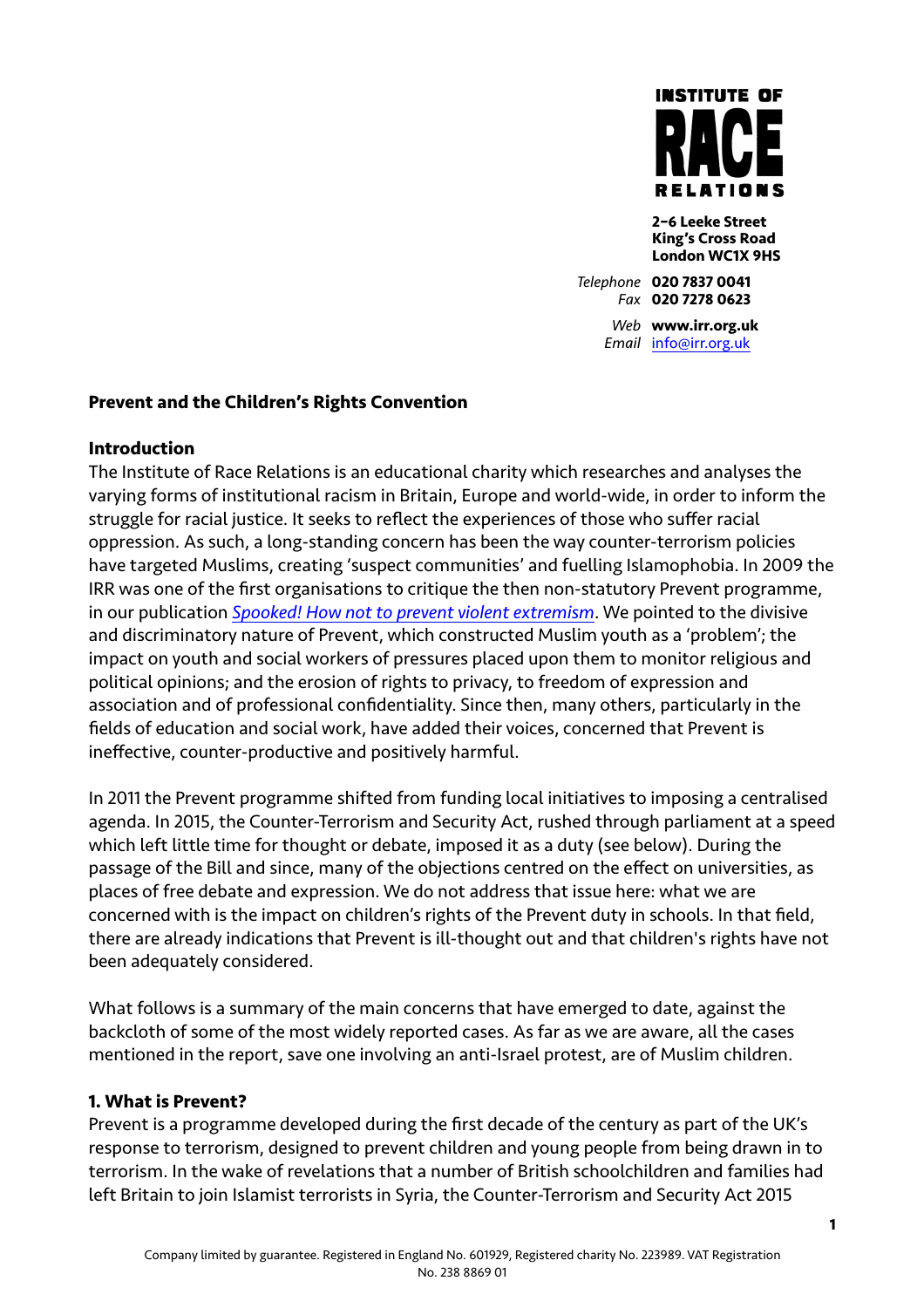

**2–6 Leeke Street King's Cross Road London WC1X 9HS** 

*Telephone* **020 7837 0041** *Fax* **020 7278 0623** *Web* **www.irr.org.uk** *Email* [info@irr.org.uk](mailto:info@irr.org.uk)

### **Prevent and the Children's Rights Convention**

### **Introduction**

The Institute of Race Relations is an educational charity which researches and analyses the varying forms of institutional racism in Britain, Europe and world-wide, in order to inform the struggle for racial justice. It seeks to reflect the experiences of those who suffer racial oppression. As such, a long-standing concern has been the way counter-terrorism policies have targeted Muslims, creating 'suspect communities' and fuelling Islamophobia. In 2009 the IRR was one of the first organisations to critique the then non-statutory Prevent programme, in our publication *[Spooked! How not to prevent violent extremism](http://www.irr.org.uk/news/spooked-how-not-to-prevent-violent-extremism/)*. We pointed to the divisive and discriminatory nature of Prevent, which constructed Muslim youth as a 'problem'; the impact on youth and social workers of pressures placed upon them to monitor religious and political opinions; and the erosion of rights to privacy, to freedom of expression and association and of professional confidentiality. Since then, many others, particularly in the fields of education and social work, have added their voices, concerned that Prevent is ineffective, counter-productive and positively harmful.

In 2011 the Prevent programme shifted from funding local initiatives to imposing a centralised agenda. In 2015, the Counter-Terrorism and Security Act, rushed through parliament at a speed which left little time for thought or debate, imposed it as a duty (see below). During the passage of the Bill and since, many of the objections centred on the effect on universities, as places of free debate and expression. We do not address that issue here: what we are concerned with is the impact on children's rights of the Prevent duty in schools. In that field, there are already indications that Prevent is ill-thought out and that children's rights have not been adequately considered.

What follows is a summary of the main concerns that have emerged to date, against the backcloth of some of the most widely reported cases. As far as we are aware, all the cases mentioned in the report, save one involving an anti-Israel protest, are of Muslim children.

### **1. What is Prevent?**

Prevent is a programme developed during the first decade of the century as part of the UK's response to terrorism, designed to prevent children and young people from being drawn in to terrorism. In the wake of revelations that a number of British schoolchildren and families had left Britain to join Islamist terrorists in Syria, the Counter-Terrorism and Security Act 2015

**1**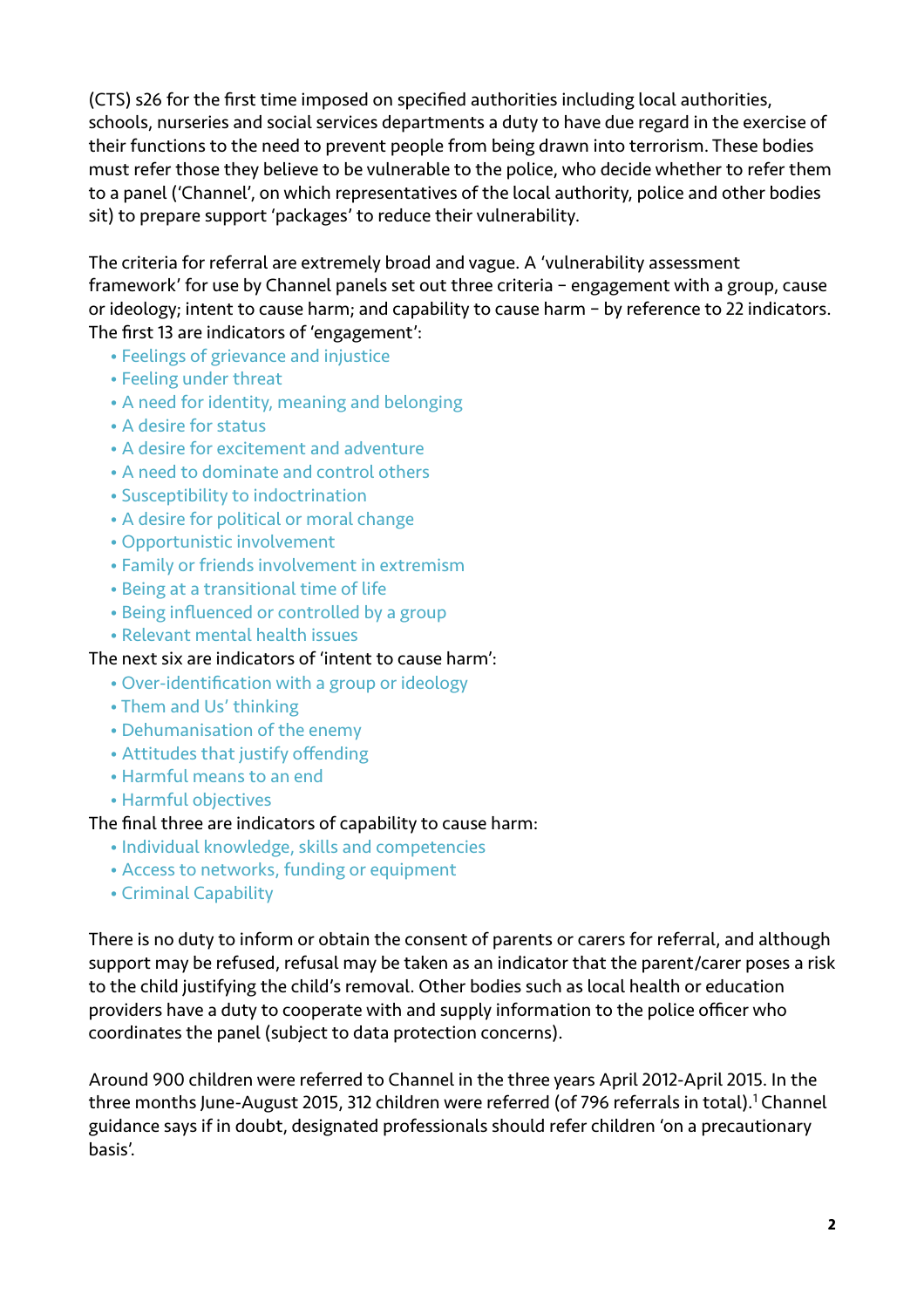(CTS) s26 for the first time imposed on specified authorities including local authorities, schools, nurseries and social services departments a duty to have due regard in the exercise of their functions to the need to prevent people from being drawn into terrorism. These bodies must refer those they believe to be vulnerable to the police, who decide whether to refer them to a panel ('Channel', on which representatives of the local authority, police and other bodies sit) to prepare support 'packages' to reduce their vulnerability.

The criteria for referral are extremely broad and vague. A 'vulnerability assessment framework' for use by Channel panels set out three criteria – engagement with a group, cause or ideology; intent to cause harm; and capability to cause harm – by reference to 22 indicators. The first 13 are indicators of 'engagement':

- Feelings of grievance and injustice
- Feeling under threat
- A need for identity, meaning and belonging
- A desire for status
- A desire for excitement and adventure
- A need to dominate and control others
- Susceptibility to indoctrination
- A desire for political or moral change
- Opportunistic involvement
- Family or friends involvement in extremism
- Being at a transitional time of life
- Being influenced or controlled by a group
- Relevant mental health issues

#### The next six are indicators of 'intent to cause harm':

- Over-identification with a group or ideology
- Them and Us' thinking
- Dehumanisation of the enemy
- Attitudes that justify offending
- Harmful means to an end
- Harmful objectives

#### The final three are indicators of capability to cause harm:

- Individual knowledge, skills and competencies
- Access to networks, funding or equipment
- Criminal Capability

There is no duty to inform or obtain the consent of parents or carers for referral, and although support may be refused, refusal may be taken as an indicator that the parent/carer poses a risk to the child justifying the child's removal. Other bodies such as local health or education providers have a duty to cooperate with and supply information to the police officer who coordinates the panel (subject to data protection concerns).

<span id="page-1-0"></span>Around 900 children were referred to Channel in the three years April 2012-April 2015. In the three months June-August 20[1](#page-12-0)5, 312 children were referred (of 796 referrals in total).<sup>1</sup> Channel guidance says if in doubt, designated professionals should refer children 'on a precautionary basis'.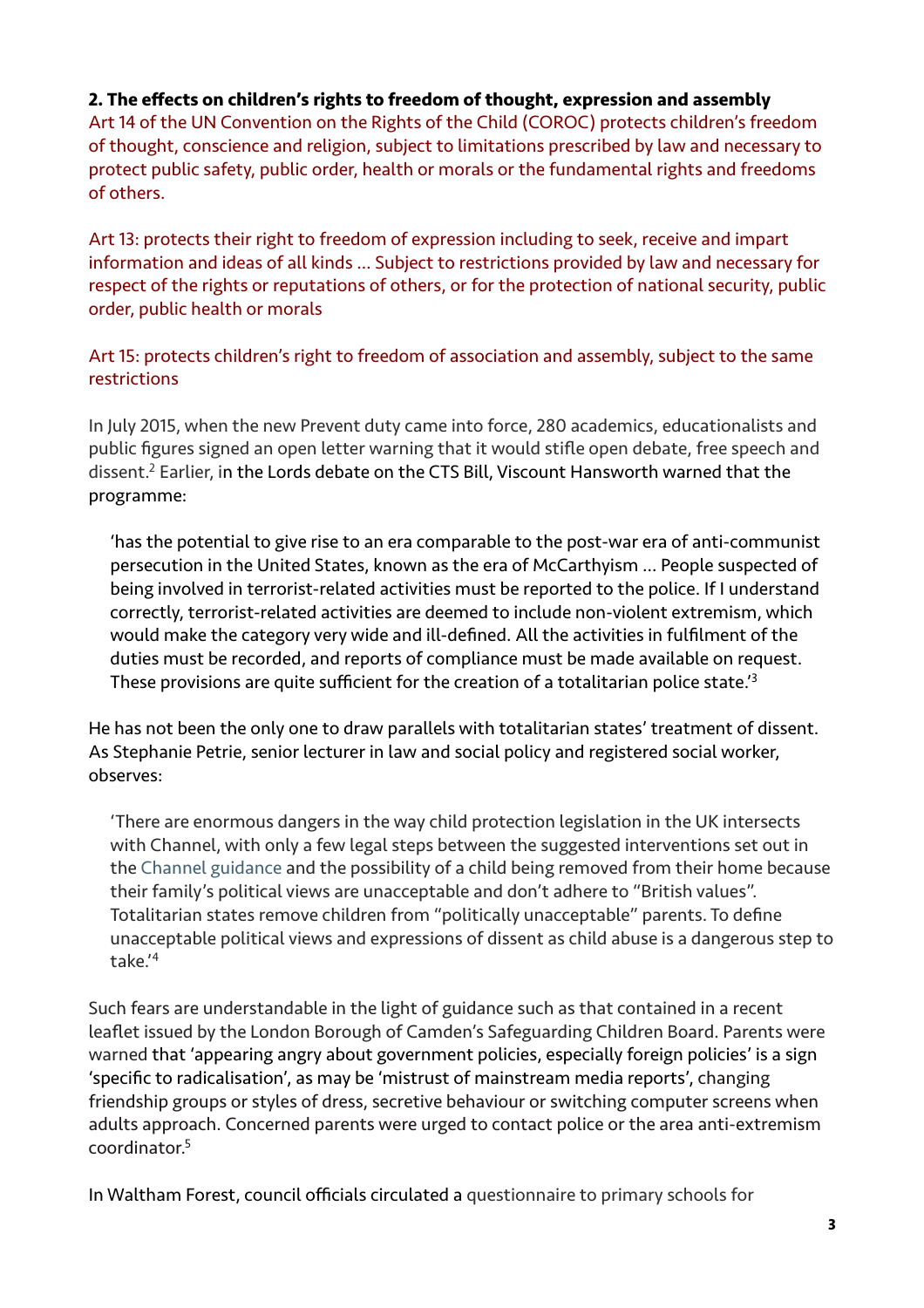## **2. The effects on children's rights to freedom of thought, expression and assembly**

Art 14 of the UN Convention on the Rights of the Child (COROC) protects children's freedom of thought, conscience and religion, subject to limitations prescribed by law and necessary to protect public safety, public order, health or morals or the fundamental rights and freedoms of others.

Art 13: protects their right to freedom of expression including to seek, receive and impart information and ideas of all kinds … Subject to restrictions provided by law and necessary for respect of the rights or reputations of others, or for the protection of national security, public order, public health or morals

Art 15: protects children's right to freedom of association and assembly, subject to the same restrictions

In July 2015, when the new Prevent duty came into force, 280 academics, educationalists and public figures signed an open letter warning that it would stifle open debate, free speech and dissent[.](#page-12-1)<sup>[2](#page-12-1)</sup> Earlier, in the Lords debate on the CTS Bill, Viscount Hansworth warned that the programme:

<span id="page-2-0"></span>'has the potential to give rise to an era comparable to the post-war era of anti-communist persecution in the United States, known as the era of McCarthyism … People suspected of being involved in terrorist-related activities must be reported to the police. If I understand correctly, terrorist-related activities are deemed to include non-violent extremism, which would make the category very wide and ill-defined. All the activities in fulfilment of the duties must be recorded, and reports of compliance must be made available on request. These provisions are quite sufficient for the creation of a totalitarian police state.'[3](#page-12-2)

He has not been the only one to draw parallels with totalitarian states' treatment of dissent. As Stephanie Petrie, senior lecturer in law and social policy and registered social worker, observes:

<span id="page-2-1"></span>'There are enormous dangers in the way child protection legislation in the UK intersects with Channel, with only a few legal steps between the suggested interventions set out in the Channel guidance and the possibility of a child being removed from their home because their family's political views are unacceptable and don't adhere to "British values". Totalitarian states remove children from "politically unacceptable" parents. To define unacceptable political views and expressions of dissent as child abuse is a dangerous step to take.'[4](#page-12-3)

<span id="page-2-2"></span>Such fears are understandable in the light of guidance such as that contained in a recent leaflet issued by the London Borough of Camden's Safeguarding Children Board. Parents were warned that 'appearing angry about government policies, especially foreign policies' is a sign 'specific to radicalisation', as may be 'mistrust of mainstream media reports', changing friendship groups or styles of dress, secretive behaviour or switching computer screens when adults approach. Concerned parents were urged to contact police or the area anti-extremism coordinator[.5](#page-12-4)

<span id="page-2-3"></span>In Waltham Forest, council officials circulated a questionnaire to primary schools for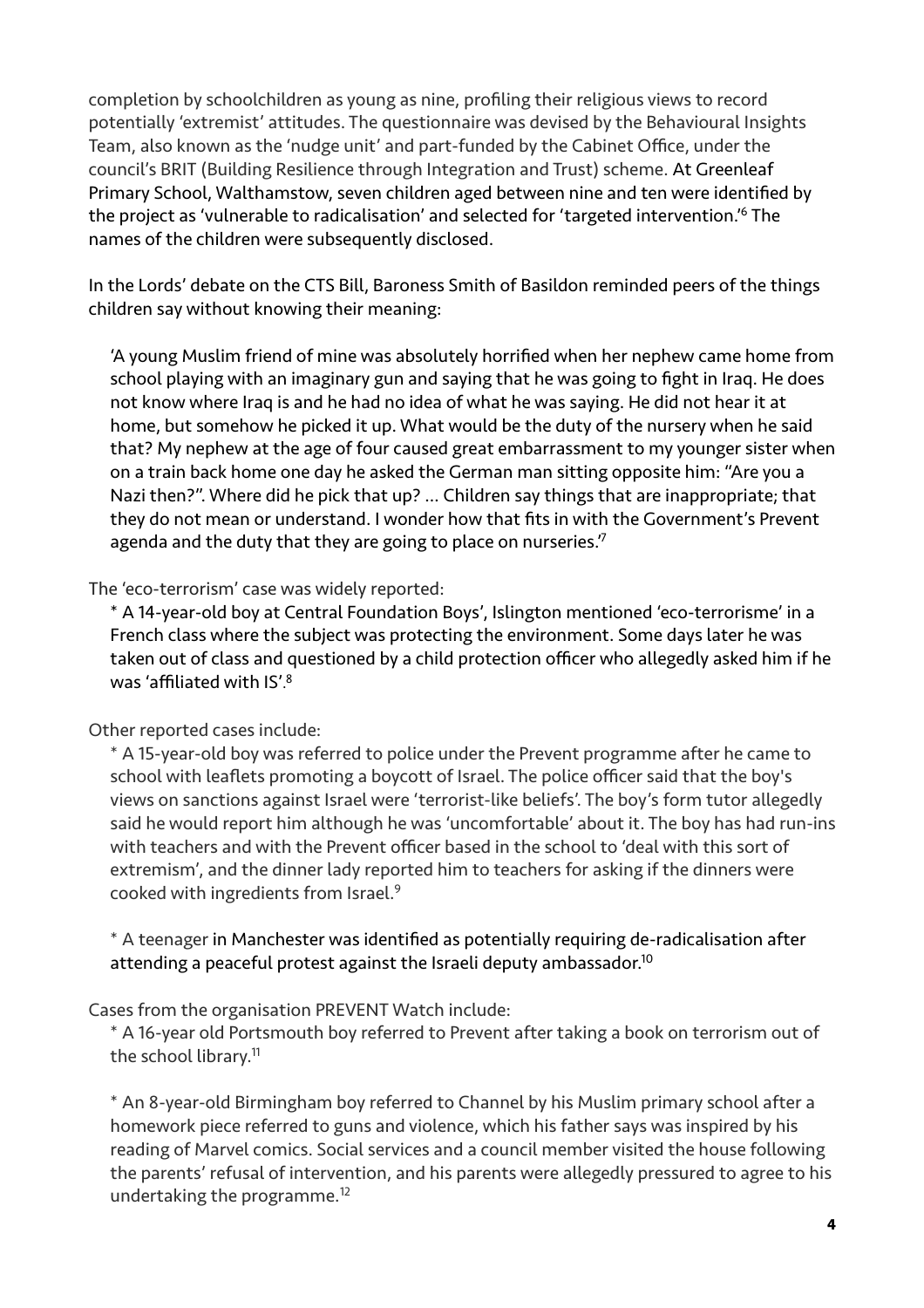completion by schoolchildren as young as nine, profiling their religious views to record potentially 'extremist' attitudes. The questionnaire was devised by the Behavioural Insights Team, also known as the 'nudge unit' and part-funded by the Cabinet Office, under the council's BRIT (Building Resilience through Integration and Trust) scheme. At Greenleaf Primary School, Walthamstow, seven children aged between nine and ten were identified by the project as ['](#page-12-5)vulnerable to radicalisation' and selected for 'targeted intervention.<sup>1[6](#page-12-5)</sup> The names of the children were subsequently disclosed.

In the Lords' debate on the CTS Bill, Baroness Smith of Basildon reminded peers of the things children say without knowing their meaning:

<span id="page-3-0"></span>'A young Muslim friend of mine was absolutely horrified when her nephew came home from school playing with an imaginary gun and saying that he was going to fight in Iraq. He does not know where Iraq is and he had no idea of what he was saying. He did not hear it at home, but somehow he picked it up. What would be the duty of the nursery when he said that? My nephew at the age of four caused great embarrassment to my younger sister when on a train back home one day he asked the German man sitting opposite him: "Are you a Nazi then?". Where did he pick that up? … Children say things that are inappropriate; that they do not mean or understand. I wonder how that fits in with the Government's Prevent agenda and the duty that they are going to place on nurseries.<sup>7</sup>

The 'eco-terrorism' case was widely reported:

<span id="page-3-1"></span>\* A 14-year-old boy at Central Foundation Boys', Islington mentioned 'eco-terrorisme' in a French class where the subject was protecting the environment. Some days later he was taken out of class and questioned by a child protection officer who allegedly asked him if he was 'affiliated with IS'. [8](#page-12-7)

## Other reported cases include:

<span id="page-3-2"></span>\* A 15-year-old boy was referred to police under the Prevent programme after he came to school with leaflets promoting a boycott of Israel. The police officer said that the boy's views on sanctions against Israel were 'terrorist-like beliefs'. The boy's form tutor allegedly said he would report him although he was 'uncomfortable' about it. The boy has had run-ins with teachers and with the Prevent officer based in the school to 'deal with this sort of extremism', and the dinner lady reported him to teachers for asking if the dinners were cooked with ingredients from Israel[.9](#page-13-0)

<span id="page-3-4"></span><span id="page-3-3"></span>\* A teenager in Manchester was identified as potentially requiring de-radicalisation after attending a peaceful protest against the Israeli deputy ambassador.<sup>10</sup>

## Cases from the organisation PREVENT Watch include:

<span id="page-3-5"></span>\* A 16-year old Portsmouth boy referred to Prevent after taking a book on terrorism out of the school library.<sup>11</sup>

<span id="page-3-6"></span>\* An 8-year-old Birmingham boy referred to Channel by his Muslim primary school after a homework piece referred to guns and violence, which his father says was inspired by his reading of Marvel comics. Social services and a council member visited the house following the parents' refusal of intervention, and his parents were allegedly pressured to agree to his undertaking the programme.<sup>[12](#page-13-3)</sup>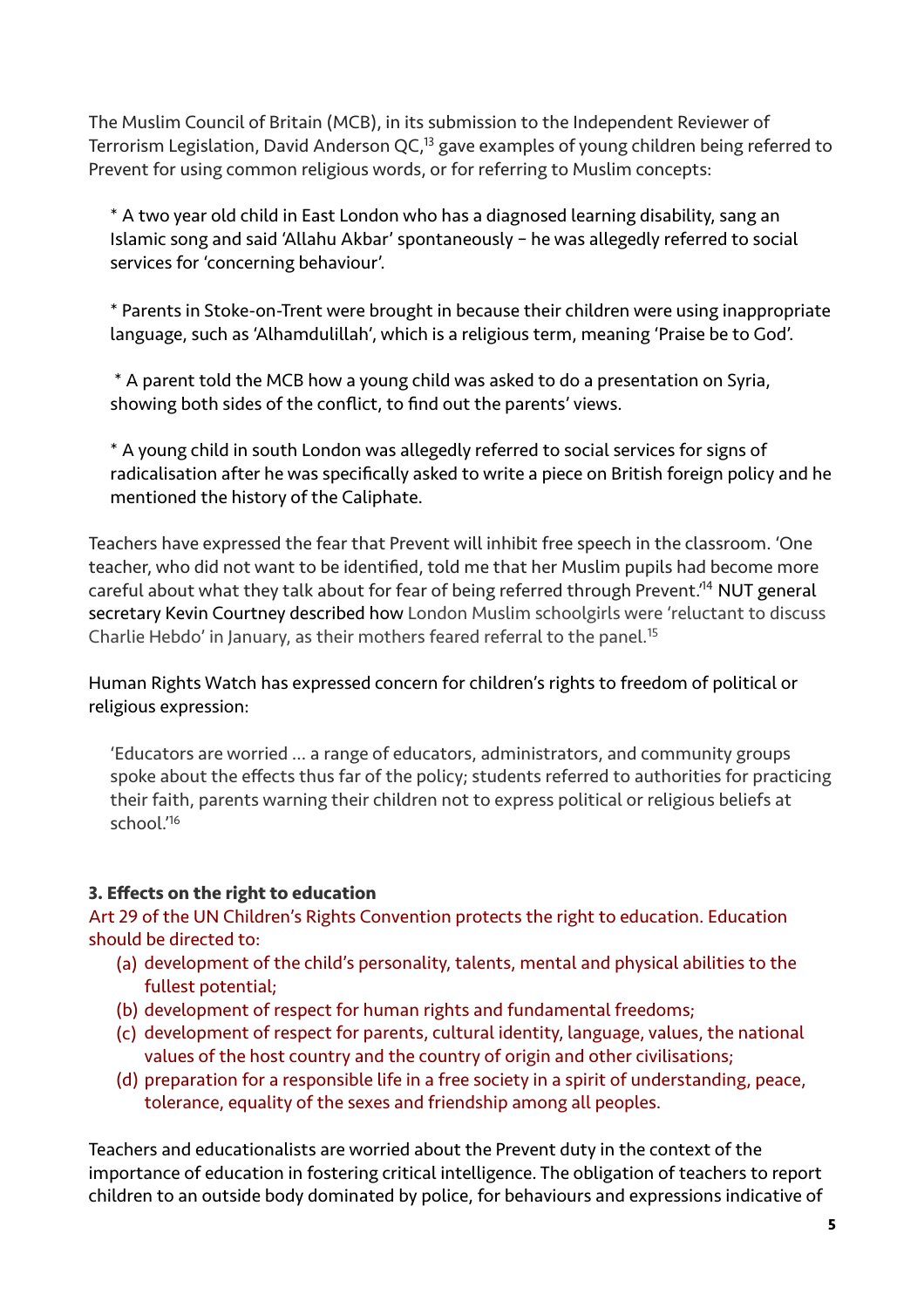The Muslim Council of Britain (MCB), in its submission to the Independent Reviewer of Terrorism Legislation[,](#page-13-4) David Anderson QC,<sup>[13](#page-13-4)</sup> gave examples of young children being referred to Prevent for using common religious words, or for referring to Muslim concepts:

<span id="page-4-0"></span>\* A two year old child in East London who has a diagnosed learning disability, sang an Islamic song and said 'Allahu Akbar' spontaneously – he was allegedly referred to social services for 'concerning behaviour'.

\* Parents in Stoke-on-Trent were brought in because their children were using inappropriate language, such as 'Alhamdulillah', which is a religious term, meaning 'Praise be to God'.

 \* A parent told the MCB how a young child was asked to do a presentation on Syria, showing both sides of the conflict, to find out the parents' views.

<span id="page-4-1"></span>\* A young child in south London was allegedly referred to social services for signs of radicalisation after he was specifically asked to write a piece on British foreign policy and he mentioned the history of the Caliphate.

Teachers have expressed the fear that Prevent will inhibit free speech in the classroom. 'One teacher, who did not want to be identified, told me that her Muslim pupils had become more careful about what they talk about for fear of being referred through Prevent.<sup>[14](#page-13-5)</sup> NUT general secretary Kevin Courtney described how London Muslim schoolgirls were 'reluctant to discuss Charlie Hebdo' in January, as their mothers feared referral to the panel.<sup>[15](#page-13-6)</sup>

Human Rights Watch has expressed concern for children's rights to freedom of political or religious expression:

<span id="page-4-3"></span><span id="page-4-2"></span>'Educators are worried … a range of educators, administrators, and community groups spoke about the effects thus far of the policy; students referred to authorities for practicing their faith, parents warning their children not to express political or religious beliefs at school.['16](#page-13-7)

# **3. Effects on the right to education**

Art 29 of the UN Children's Rights Convention protects the right to education. Education should be directed to:

- (a) development of the child's personality, talents, mental and physical abilities to the fullest potential;
- (b) development of respect for human rights and fundamental freedoms;
- (c) development of respect for parents, cultural identity, language, values, the national values of the host country and the country of origin and other civilisations;
- (d) preparation for a responsible life in a free society in a spirit of understanding, peace, tolerance, equality of the sexes and friendship among all peoples.

Teachers and educationalists are worried about the Prevent duty in the context of the importance of education in fostering critical intelligence. The obligation of teachers to report children to an outside body dominated by police, for behaviours and expressions indicative of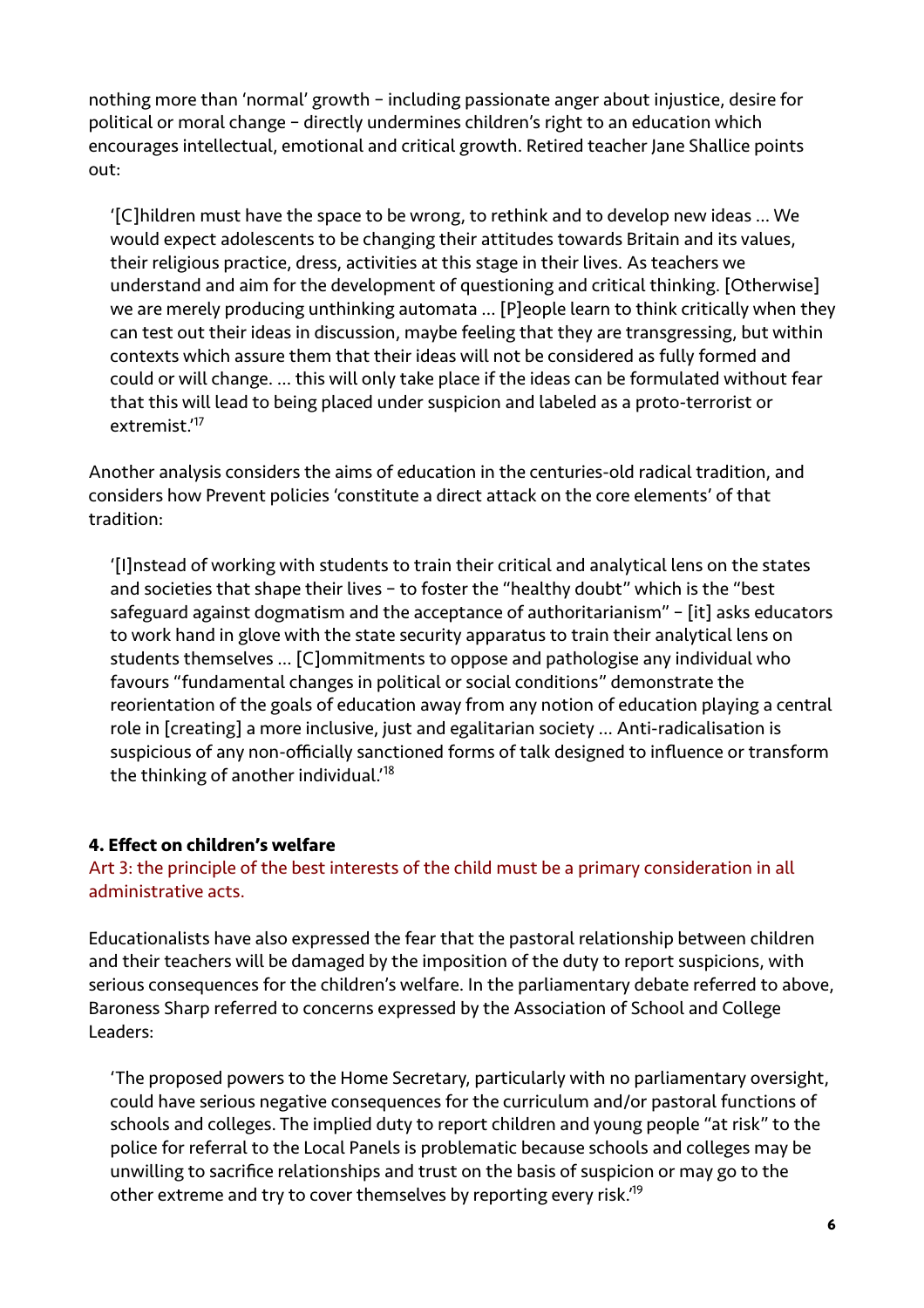nothing more than 'normal' growth – including passionate anger about injustice, desire for political or moral change – directly undermines children's right to an education which encourages intellectual, emotional and critical growth. Retired teacher Jane Shallice points out:

'[C]hildren must have the space to be wrong, to rethink and to develop new ideas … We would expect adolescents to be changing their attitudes towards Britain and its values, their religious practice, dress, activities at this stage in their lives. As teachers we understand and aim for the development of questioning and critical thinking. [Otherwise] we are merely producing unthinking automata … [P]eople learn to think critically when they can test out their ideas in discussion, maybe feeling that they are transgressing, but within contexts which assure them that their ideas will not be considered as fully formed and could or will change. … this will only take place if the ideas can be formulated without fear that this will lead to being placed under suspicion and labeled as a proto-terrorist or extremist.'[17](#page-13-8)

<span id="page-5-0"></span>Another analysis considers the aims of education in the centuries-old radical tradition, and considers how Prevent policies 'constitute a direct attack on the core elements' of that tradition:

'[I]nstead of working with students to train their critical and analytical lens on the states and societies that shape their lives – to foster the "healthy doubt" which is the "best safeguard against dogmatism and the acceptance of authoritarianism" – [it] asks educators to work hand in glove with the state security apparatus to train their analytical lens on students themselves … [C]ommitments to oppose and pathologise any individual who favours "fundamental changes in political or social conditions" demonstrate the reorientation of the goals of education away from any notion of education playing a central role in [creating] a more inclusive, just and egalitarian society … Anti-radicalisation is suspicious of any non-officially sanctioned forms of talk designed to influence or transform the thinking of another individual.'[18](#page-13-9)

### <span id="page-5-1"></span>**4. Effect on children's welfare**

Art 3: the principle of the best interests of the child must be a primary consideration in all administrative acts.

Educationalists have also expressed the fear that the pastoral relationship between children and their teachers will be damaged by the imposition of the duty to report suspicions, with serious consequences for the children's welfare. In the parliamentary debate referred to above, Baroness Sharp referred to concerns expressed by the Association of School and College Leaders:

<span id="page-5-2"></span>'The proposed powers to the Home Secretary, particularly with no parliamentary oversight, could have serious negative consequences for the curriculum and/or pastoral functions of schools and colleges. The implied duty to report children and young people "at risk" to the police for referral to the Local Panels is problematic because schools and colleges may be unwilling to sacrifice relationships and trust on the basis of suspicion or may go to the other extreme and try to cover themselves by reporting every risk.<sup>19</sup>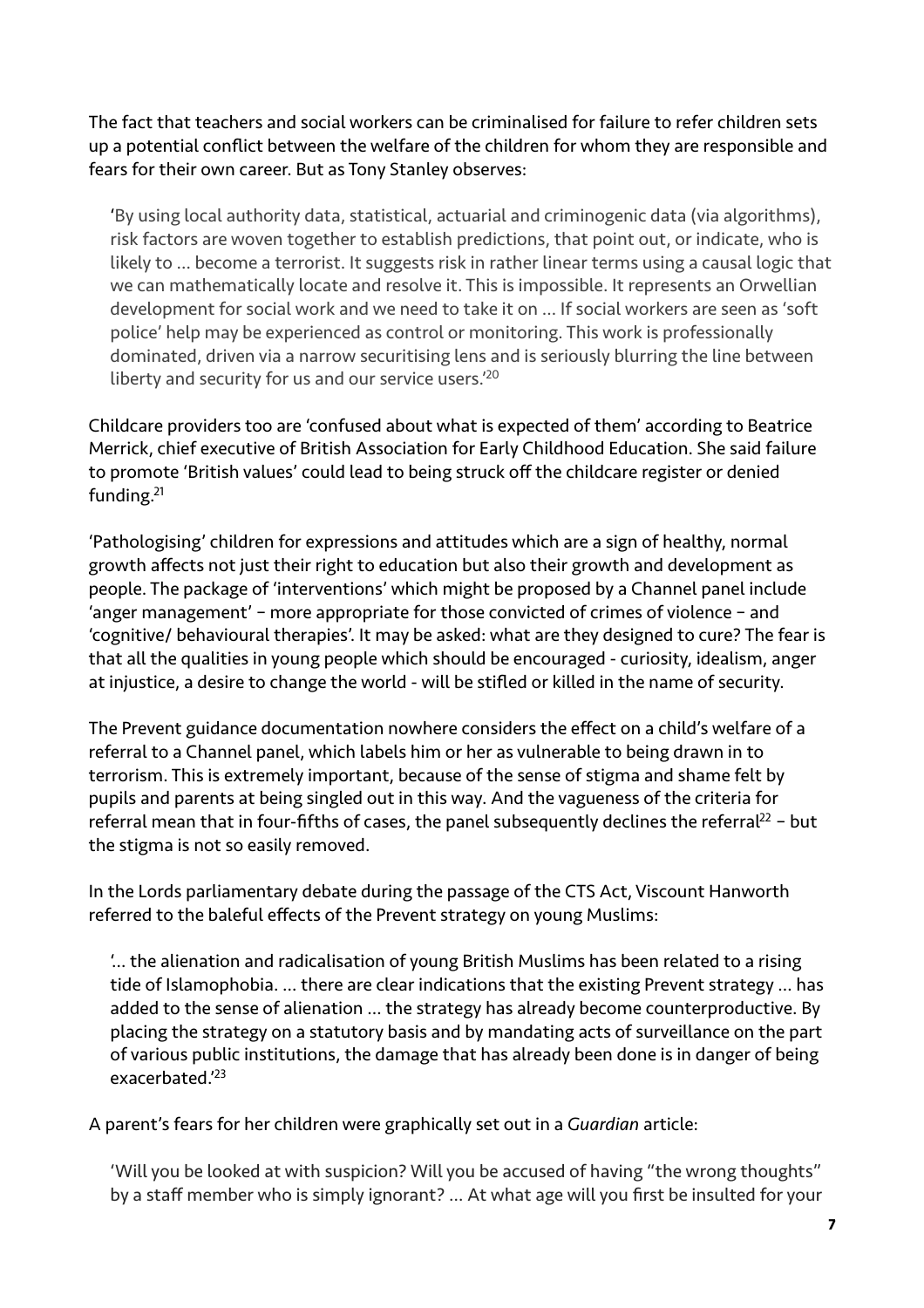The fact that teachers and social workers can be criminalised for failure to refer children sets up a potential conflict between the welfare of the children for whom they are responsible and fears for their own career. But as Tony Stanley observes:

'By using local authority data, statistical, actuarial and criminogenic data (via algorithms), risk factors are woven together to establish predictions, that point out, or indicate, who is likely to … become a terrorist. It suggests risk in rather linear terms using a causal logic that we can mathematically locate and resolve it. This is impossible. It represents an Orwellian development for social work and we need to take it on … If social workers are seen as 'soft police' help may be experienced as control or monitoring. This work is professionally dominated, driven via a narrow securitising lens and is seriously blurring the line between liberty and security for us and our service users.'<sup>20</sup>

<span id="page-6-0"></span>Childcare providers too are 'confused about what is expected of them' according to Beatrice Merrick, chief executive of British Association for Early Childhood Education. She said failure to promote 'British values' could lead to being struck off the childcare register or denied funding[.21](#page-13-12)

<span id="page-6-1"></span>'Pathologising' children for expressions and attitudes which are a sign of healthy, normal growth affects not just their right to education but also their growth and development as people. The package of 'interventions' which might be proposed by a Channel panel include 'anger management' – more appropriate for those convicted of crimes of violence – and 'cognitive/ behavioural therapies'. It may be asked: what are they designed to cure? The fear is that all the qualities in young people which should be encouraged - curiosity, idealism, anger at injustice, a desire to change the world - will be stifled or killed in the name of security.

The Prevent guidance documentation nowhere considers the effect on a child's welfare of a referral to a Channel panel, which labels him or her as vulnerable to being drawn in to terrorism. This is extremely important, because of the sense of stigma and shame felt by pupils and parents at being singled out in this way. And the vagueness of the criteria for referra[l](#page-13-13) mean that in four-fifths of cases, the panel subsequently declines the referral<sup>[22](#page-13-13)</sup> - but the stigma is not so easily removed.

In the Lords parliamentary debate during the passage of the CTS Act, Viscount Hanworth referred to the baleful effects of the Prevent strategy on young Muslims:

<span id="page-6-2"></span>'… the alienation and radicalisation of young British Muslims has been related to a rising tide of Islamophobia. … there are clear indications that the existing Prevent strategy … has added to the sense of alienation … the strategy has already become counterproductive. By placing the strategy on a statutory basis and by mandating acts of surveillance on the part of various public institutions, the damage that has already been done is in danger of being exacerbated.['23](#page-13-14)

<span id="page-6-3"></span>A parent's fears for her children were graphically set out in a *Guardian* article:

'Will you be looked at with suspicion? Will you be accused of having "the wrong thoughts" by a staff member who is simply ignorant? … At what age will you first be insulted for your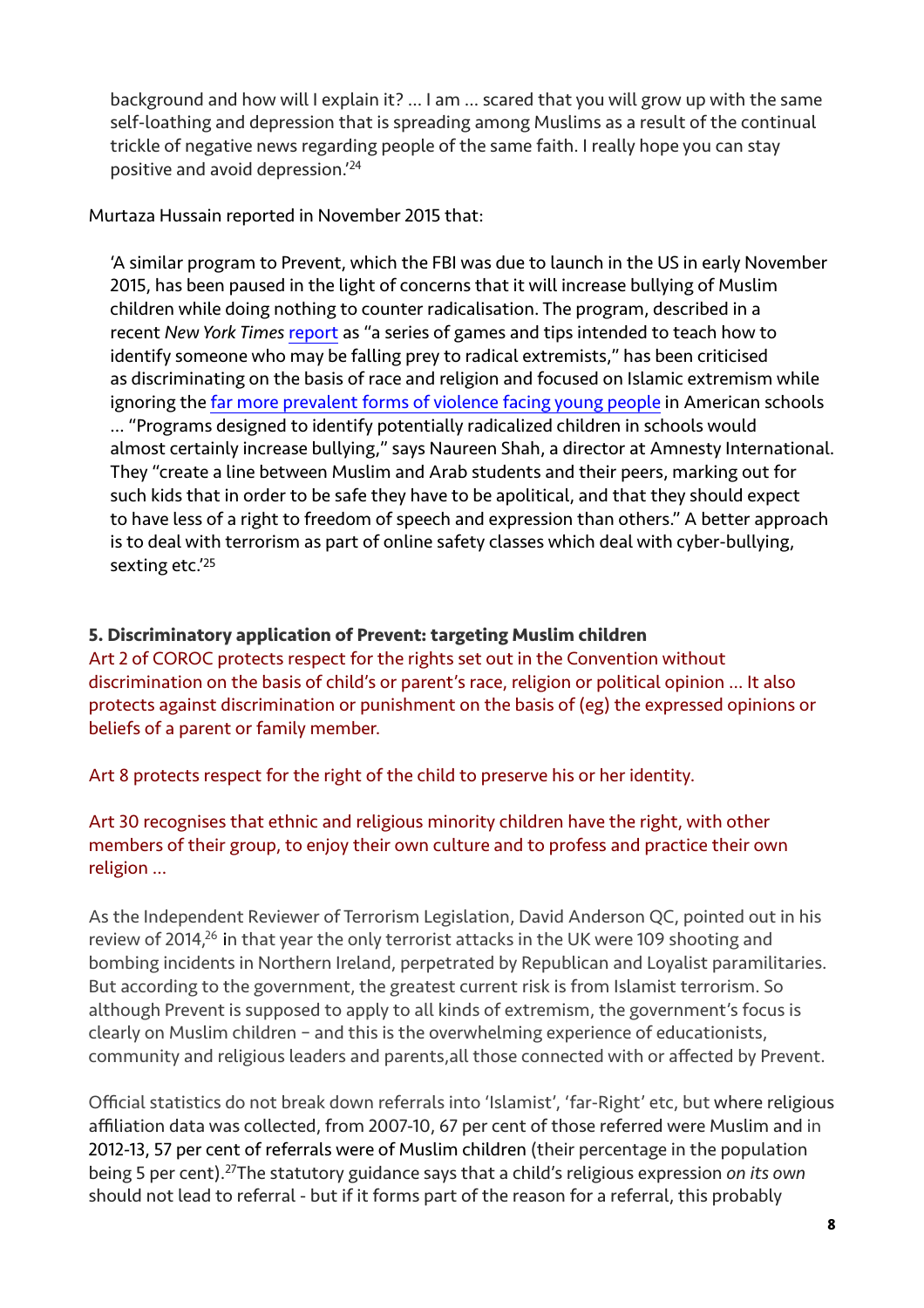<span id="page-7-0"></span>background and how will I explain it? … I am … scared that you will grow up with the same self-loathing and depression that is spreading among Muslims as a result of the continual trickle of negative news regarding people of the same faith. I really hope you can stay positive and avoid depression.['24](#page-13-15)

Murtaza Hussain reported in November 2015 that:

'A similar program to Prevent, which the FBI was due to launch in the US in early November 2015, has been paused in the light of concerns that it will increase bullying of Muslim children while doing nothing to counter radicalisation. The program, described in a recent *New York Times* [report](http://www.nytimes.com/2015/11/02/us/fbi-tool-to-identify-extremists-is-criticized.html?_r=0) as "a series of games and tips intended to teach how to identify someone who may be falling prey to radical extremists," has been criticised as discriminating on the basis of race and religion and focused on Islamic extremism while ignoring the [far more prevalent forms of violence facing young people](http://www.newsweek.com/45th-mass-shooting-america-2015-378803) in American schools … "Programs designed to identify potentially radicalized children in schools would almost certainly increase bullying," says Naureen Shah, a director at Amnesty International. They "create a line between Muslim and Arab students and their peers, marking out for such kids that in order to be safe they have to be apolitical, and that they should expect to have less of a right to freedom of speech and expression than others." A better approach is to deal with terrorism as part of online safety classes which deal with cyber-bullying, sexting etc.['25](#page-13-16)

## <span id="page-7-1"></span>**5. Discriminatory application of Prevent: targeting Muslim children**

Art 2 of COROC protects respect for the rights set out in the Convention without discrimination on the basis of child's or parent's race, religion or political opinion … It also protects against discrimination or punishment on the basis of (eg) the expressed opinions or beliefs of a parent or family member.

Art 8 protects respect for the right of the child to preserve his or her identity.

## Art 30 recognises that ethnic and religious minority children have the right, with other members of their group, to enjoy their own culture and to profess and practice their own religion …

<span id="page-7-2"></span>As the Independent Reviewer of Terrorism Legislation, David Anderson QC, pointed out in his review of 2014, $26$  in that year the only terrorist attacks in the UK were 109 shooting and bombing incidents in Northern Ireland, perpetrated by Republican and Loyalist paramilitaries. But according to the government, the greatest current risk is from Islamist terrorism. So although Prevent is supposed to apply to all kinds of extremism, the government's focus is clearly on Muslim children – and this is the overwhelming experience of educationists, community and religious leaders and parents,all those connected with or affected by Prevent.

<span id="page-7-3"></span>Official statistics do not break down referrals into 'Islamist', 'far-Right' etc, but where religious affiliation data was collected, from 2007-10, 67 per cent of those referred were Muslim and in 2012-13, 57 per cent of referrals were of Muslim children (their percentage in the population being 5 per cent).<sup>[27](#page-13-18)</sup>The statutory guidance says that a child's religious expression *on its own* should not lead to referral - but if it forms part of the reason for a referral, this probably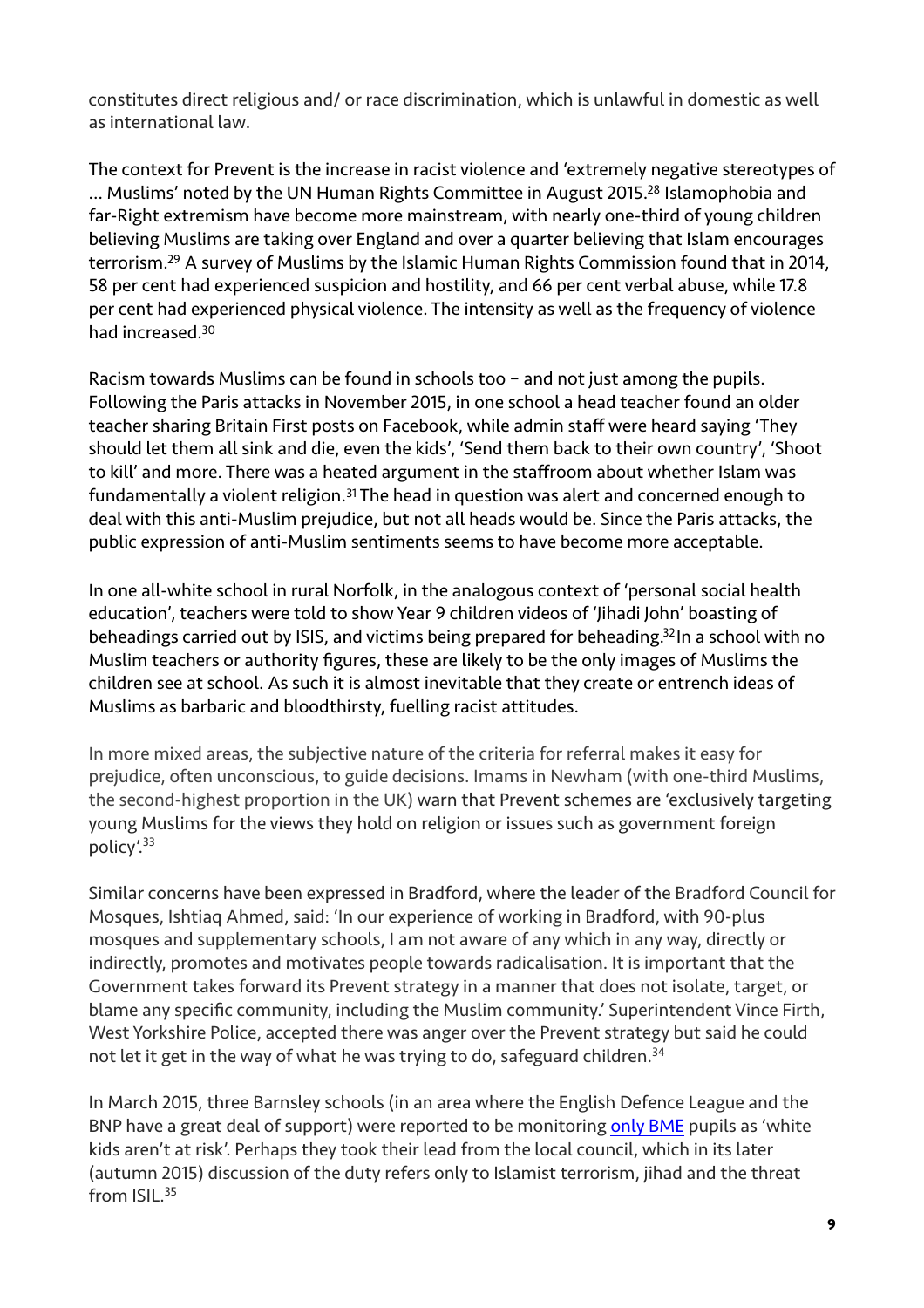constitutes direct religious and/ or race discrimination, which is unlawful in domestic as well as international law.

<span id="page-8-1"></span><span id="page-8-0"></span>The context for Prevent is the increase in racist violence and 'extremely negative stereotypes of [.](#page-13-19).. Muslims' noted by the UN Human Rights Committee in August 2015.<sup>[28](#page-13-19)</sup> Islamophobia and far-Right extremism have become more mainstream, with nearly one-third of young children believing Muslims are taking over England and over a quarter believing that Islam encourages terrorism[.](#page-13-20)<sup>[29](#page-13-20)</sup> A survey of Muslims by the Islamic Human Rights Commission found that in 2014, 58 per cent had experienced suspicion and hostility, and 66 per cent verbal abuse, while 17.8 per cent had experienced physical violence. The intensity as well as the frequency of violence had increased[.30](#page-13-21)

<span id="page-8-2"></span>Racism towards Muslims can be found in schools too – and not just among the pupils. Following the Paris attacks in November 2015, in one school a head teacher found an older teacher sharing Britain First posts on Facebook, while admin staff were heard saying 'They should let them all sink and die, even the kids', 'Send them back to their own country', 'Shoot to kill' and more. There was a heated argument in the staffroom about whether Islam was fundamentally a violent religion.<sup>[31](#page-13-22)</sup> The head in question was alert and concerned enough to deal with this anti-Muslim prejudice, but not all heads would be. Since the Paris attacks, the public expression of anti-Muslim sentiments seems to have become more acceptable.

<span id="page-8-4"></span><span id="page-8-3"></span>In one all-white school in rural Norfolk, in the analogous context of 'personal social health education', teachers were told to show Year 9 children videos of 'Jihadi John' boasting of beheadings carried out by ISIS, and victims being prepared for beheading.<sup>[32](#page-13-23)</sup>In a school with no Muslim teachers or authority figures, these are likely to be the only images of Muslims the children see at school. As such it is almost inevitable that they create or entrench ideas of Muslims as barbaric and bloodthirsty, fuelling racist attitudes.

In more mixed areas, the subjective nature of the criteria for referral makes it easy for prejudice, often unconscious, to guide decisions. Imams in Newham (with one-third Muslims, the second-highest proportion in the UK) warn that Prevent schemes are 'exclusively targeting young Muslims for the views they hold on religion or issues such as government foreign policy'[.33](#page-13-24)

<span id="page-8-5"></span>Similar concerns have been expressed in Bradford, where the leader of the Bradford Council for Mosques, Ishtiaq Ahmed, said: 'In our experience of working in Bradford, with 90-plus mosques and supplementary schools, I am not aware of any which in any way, directly or indirectly, promotes and motivates people towards radicalisation. It is important that the Government takes forward its Prevent strategy in a manner that does not isolate, target, or blame any specific community, including the Muslim community.' Superintendent Vince Firth, West Yorkshire Police, accepted there was anger over the Prevent strategy but said he could not let it get in the way of what he was trying to do, safeguard children.<sup>[34](#page-13-25)</sup>

<span id="page-8-7"></span><span id="page-8-6"></span>In March 2015, three Barnsley schools (in an area where the English Defence League and the BNP have a great deal of support) were reported to be monitoring [only BME](https://www.thebureauinvestigates.com/2015/03/31/prevent-policy-schools-barnsley-edl-bnp-heartland/) pupils as 'white kids aren't at risk'. Perhaps they took their lead from the local council, which in its later (autumn 2015) discussion of the duty refers only to Islamist terrorism, jihad and the threat from ISIL[.35](#page-13-26)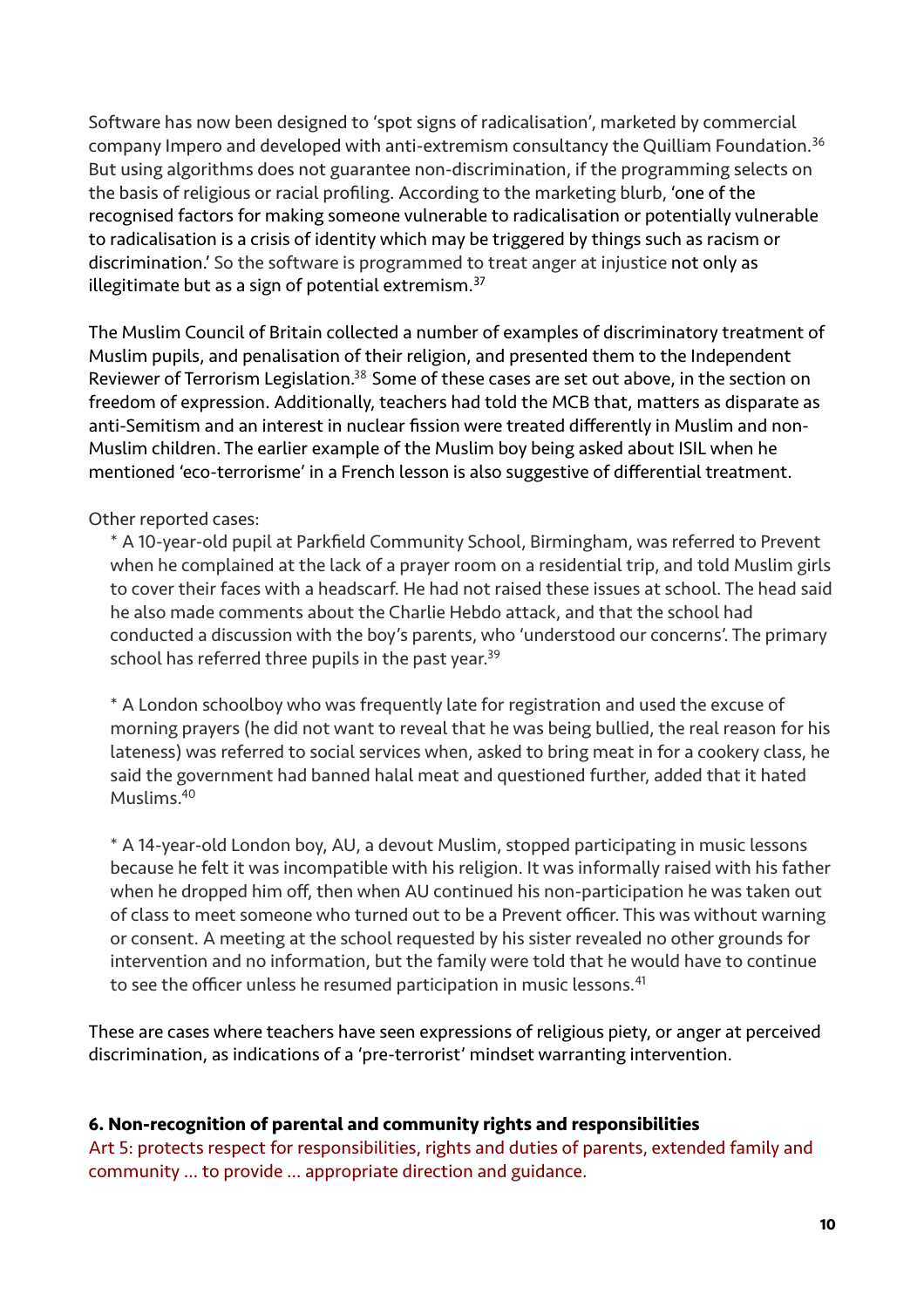<span id="page-9-0"></span>Software has now been designed to 'spot signs of radicalisation', marketed by commercial company Impero and developed with anti-extremism consultancy the Quilliam Foundation[.36](#page-14-0) But using algorithms does not guarantee non-discrimination, if the programming selects on the basis of religious or racial profiling. According to the marketing blurb, 'one of the recognised factors for making someone vulnerable to radicalisation or potentially vulnerable to radicalisation is a crisis of identity which may be triggered by things such as racism or discrimination.' So the software is programmed to treat anger at injustice not only as illegitimate but as a sign of potential extremism.<sup>[37](#page-14-1)</sup>

<span id="page-9-2"></span><span id="page-9-1"></span>The Muslim Council of Britain collected a number of examples of discriminatory treatment of Muslim pupils, and penalisation of their religion, and presented them to the Independent Reviewer of Terrorism Legislation.<sup>[38](#page-14-2)</sup> Some of these cases are set out above, in the section on freedom of expression. Additionally, teachers had told the MCB that, matters as disparate as anti-Semitism and an interest in nuclear fission were treated differently in Muslim and non-Muslim children. The earlier example of the Muslim boy being asked about ISIL when he mentioned 'eco-terrorisme' in a French lesson is also suggestive of differential treatment.

### Other reported cases:

\* A 10-year-old pupil at Parkfield Community School, Birmingham, was referred to Prevent when he complained at the lack of a prayer room on a residential trip, and told Muslim girls to cover their faces with a headscarf. He had not raised these issues at school. The head said he also made comments about the Charlie Hebdo attack, and that the school had conducted a discussion with the boy's parents, who 'understood our concerns'. The primary school has referred three pupils in the past year.<sup>39</sup>

<span id="page-9-3"></span>\* A London schoolboy who was frequently late for registration and used the excuse of morning prayers (he did not want to reveal that he was being bullied, the real reason for his lateness) was referred to social services when, asked to bring meat in for a cookery class, he said the government had banned halal meat and questioned further, added that it hated Muslims[.40](#page-14-4)

<span id="page-9-5"></span><span id="page-9-4"></span>\* A 14-year-old London boy, AU, a devout Muslim, stopped participating in music lessons because he felt it was incompatible with his religion. It was informally raised with his father when he dropped him off, then when AU continued his non-participation he was taken out of class to meet someone who turned out to be a Prevent officer. This was without warning or consent. A meeting at the school requested by his sister revealed no other grounds for intervention and no information, but the family were told that he would have to continue to see the officer unless he resumed participation in music lessons.<sup>[41](#page-14-5)</sup>

These are cases where teachers have seen expressions of religious piety, or anger at perceived discrimination, as indications of a 'pre-terrorist' mindset warranting intervention.

### **6. Non-recognition of parental and community rights and responsibilities**

Art 5: protects respect for responsibilities, rights and duties of parents, extended family and community … to provide … appropriate direction and guidance.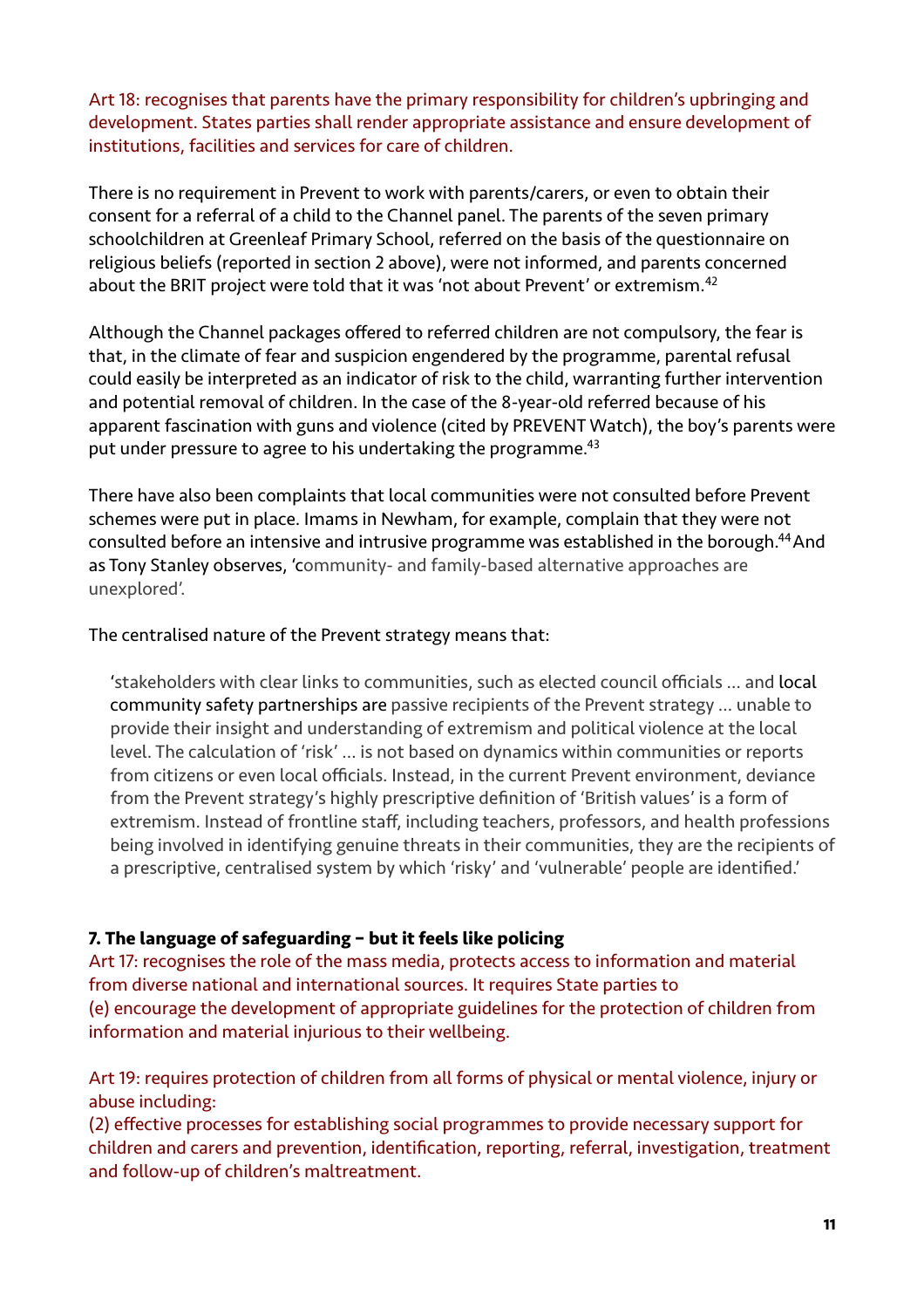Art 18: recognises that parents have the primary responsibility for children's upbringing and development. States parties shall render appropriate assistance and ensure development of institutions, facilities and services for care of children.

There is no requirement in Prevent to work with parents/carers, or even to obtain their consent for a referral of a child to the Channel panel. The parents of the seven primary schoolchildren at Greenleaf Primary School, referred on the basis of the questionnaire on religious beliefs (reported in section 2 above), were not informed, and parents concerned about the BRIT project were told that it was 'not about Prevent' or extremism.<sup>42</sup>

<span id="page-10-0"></span>Although the Channel packages offered to referred children are not compulsory, the fear is that, in the climate of fear and suspicion engendered by the programme, parental refusal could easily be interpreted as an indicator of risk to the child, warranting further intervention and potential removal of children. In the case of the 8-year-old referred because of his apparent fascination with guns and violence (cited by PREVENT Watch), the boy's parents were put under pressure to agree to his undertaking the programme.<sup>43</sup>

<span id="page-10-1"></span>There have also been complaints that local communities were not consulted before Prevent schemes were put in place. Imams in Newham, for example, complain that they were not consulted before an intensive and intrusive programme was established in the borough.<sup>[44](#page-14-8)</sup> And as Tony Stanley observes, 'community- and family-based alternative approaches are unexplored'.

## The centralised nature of the Prevent strategy means that:

<span id="page-10-2"></span>'stakeholders with clear links to communities, such as elected council officials … and local community safety partnerships are passive recipients of the Prevent strategy … unable to provide their insight and understanding of extremism and political violence at the local level. The calculation of 'risk' … is not based on dynamics within communities or reports from citizens or even local officials. Instead, in the current Prevent environment, deviance from the Prevent strategy's highly prescriptive definition of 'British values' is a form of extremism. Instead of frontline staff, including teachers, professors, and health professions being involved in identifying genuine threats in their communities, they are the recipients of a prescriptive, centralised system by which 'risky' and 'vulnerable' people are identified.'

## **7. The language of safeguarding – but it feels like policing**

Art 17: recognises the role of the mass media, protects access to information and material from diverse national and international sources. It requires State parties to (e) encourage the development of appropriate guidelines for the protection of children from information and material injurious to their wellbeing.

Art 19: requires protection of children from all forms of physical or mental violence, injury or abuse including:

(2) effective processes for establishing social programmes to provide necessary support for children and carers and prevention, identification, reporting, referral, investigation, treatment and follow-up of children's maltreatment.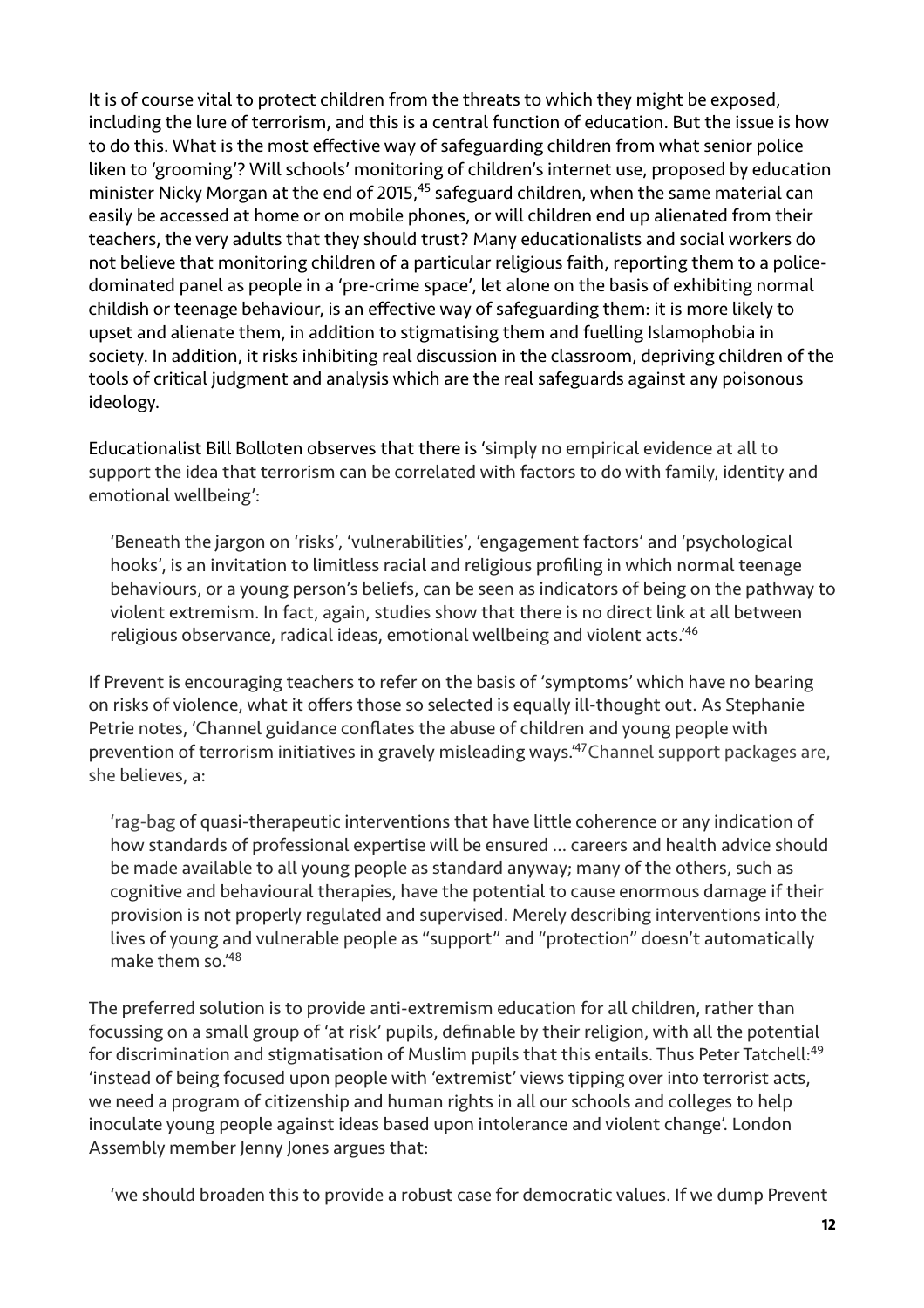<span id="page-11-0"></span>It is of course vital to protect children from the threats to which they might be exposed, including the lure of terrorism, and this is a central function of education. But the issue is how to do this. What is the most effective way of safeguarding children from what senior police liken to 'grooming'? Will schools' monitoring of children's internet use, proposed by education minister Nicky Morgan at the end of 2015[,](#page-14-9)  $45$  safeguard children, when the same material can easily be accessed at home or on mobile phones, or will children end up alienated from their teachers, the very adults that they should trust? Many educationalists and social workers do not believe that monitoring children of a particular religious faith, reporting them to a policedominated panel as people in a 'pre-crime space', let alone on the basis of exhibiting normal childish or teenage behaviour, is an effective way of safeguarding them: it is more likely to upset and alienate them, in addition to stigmatising them and fuelling Islamophobia in society. In addition, it risks inhibiting real discussion in the classroom, depriving children of the tools of critical judgment and analysis which are the real safeguards against any poisonous ideology.

Educationalist Bill Bolloten observes that there is 'simply no empirical evidence at all to support the idea that terrorism can be correlated with factors to do with family, identity and emotional wellbeing':

<span id="page-11-1"></span>'Beneath the jargon on 'risks', 'vulnerabilities', 'engagement factors' and 'psychological hooks', is an invitation to limitless racial and religious profiling in which normal teenage behaviours, or a young person's beliefs, can be seen as indicators of being on the pathway to violent extremism. In fact, again, studies show that there is no direct link at all between religious observance, radical ideas, emotional wellbeing and violent acts.['46](#page-14-10)

If Prevent is encouraging teachers to refer on the basis of 'symptoms' which have no bearing on risks of violence, what it offers those so selected is equally ill-thought out. As Stephanie Petrie notes, 'Channel guidance conflates the abuse of children and young people with prevention of terrorism initiatives in gravely misleading ways.<sup>[47](#page-14-11)</sup> Channel support packages are, she believes, a:

<span id="page-11-2"></span>'rag-bag of quasi-therapeutic interventions that have little coherence or any indication of how standards of professional expertise will be ensured … careers and health advice should be made available to all young people as standard anyway; many of the others, such as cognitive and behavioural therapies, have the potential to cause enormous damage if their provision is not properly regulated and supervised. Merely describing interventions into the lives of young and vulnerable people as "support" and "protection" doesn't automatically make them so.['48](#page-14-12)

<span id="page-11-3"></span>The preferred solution is to provide anti-extremism education for all children, rather than focussing on a small group of 'at risk' pupils, definable by their religion, with all the potential for discrimination and stigmatisation of Muslim pupils that this entails. Thus Peter Tatchell:<sup>49</sup> 'instead of being focused upon people with 'extremist' views tipping over into terrorist acts, we need a program of citizenship and human rights in all our schools and colleges to help inoculate young people against ideas based upon intolerance and violent change'. London Assembly member Jenny Jones argues that:

<span id="page-11-4"></span>'we should broaden this to provide a robust case for democratic values. If we dump Prevent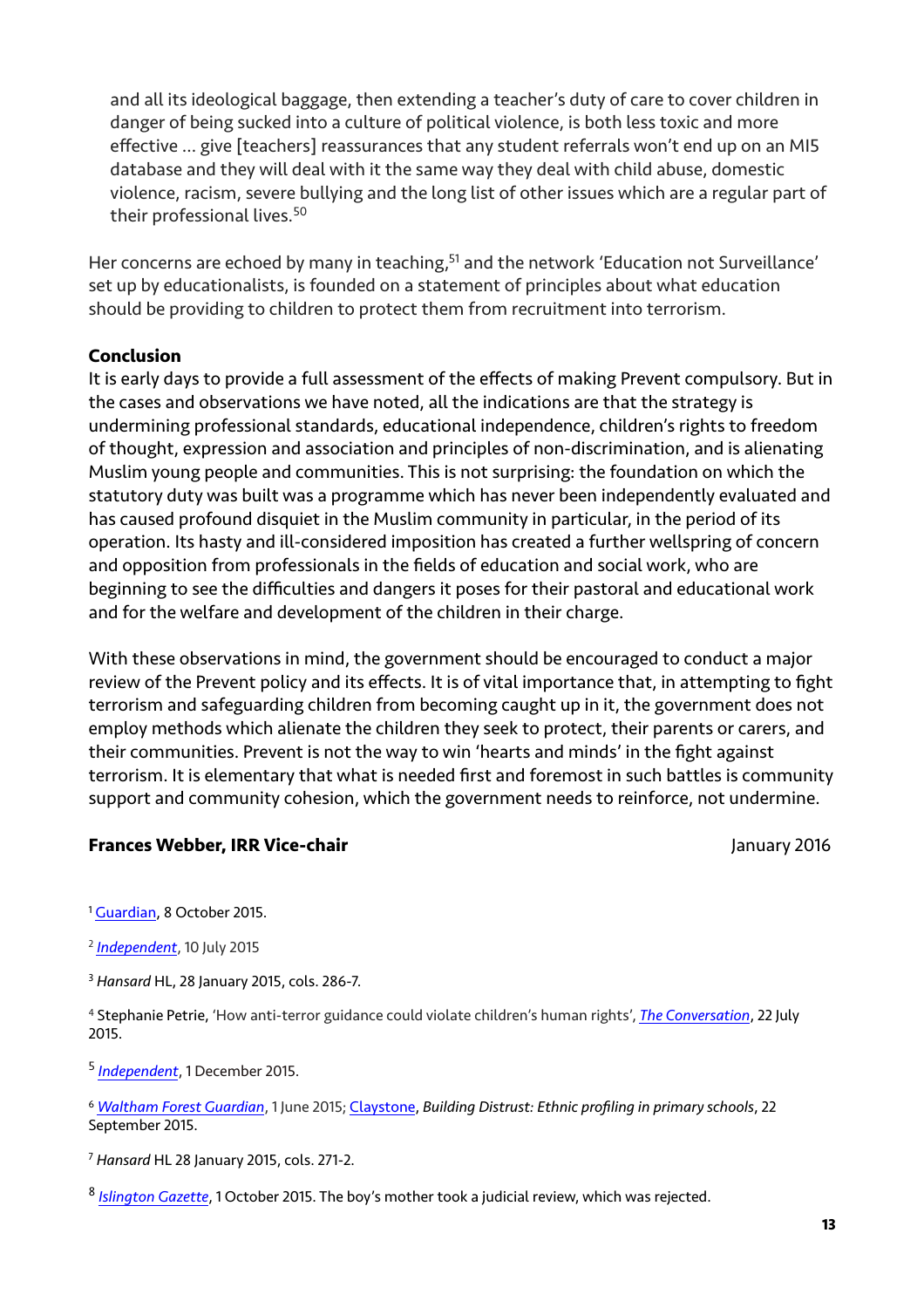and all its ideological baggage, then extending a teacher's duty of care to cover children in danger of being sucked into a culture of political violence, is both less toxic and more effective … give [teachers] reassurances that any student referrals won't end up on an MI5 database and they will deal with it the same way they deal with child abuse, domestic violence, racism, severe bullying and the long list of other issues which are a regular part of their professional lives.<sup>[50](#page-14-14)</sup>

<span id="page-12-9"></span><span id="page-12-8"></span>Her concerns are echoed by many in teaching[,](#page-14-15)<sup>[51](#page-14-15)</sup> and the network 'Education not Surveillance' set up by educationalists, is founded on a statement of principles about what education should be providing to children to protect them from recruitment into terrorism.

### **Conclusion**

It is early days to provide a full assessment of the effects of making Prevent compulsory. But in the cases and observations we have noted, all the indications are that the strategy is undermining professional standards, educational independence, children's rights to freedom of thought, expression and association and principles of non-discrimination, and is alienating Muslim young people and communities. This is not surprising: the foundation on which the statutory duty was built was a programme which has never been independently evaluated and has caused profound disquiet in the Muslim community in particular, in the period of its operation. Its hasty and ill-considered imposition has created a further wellspring of concern and opposition from professionals in the fields of education and social work, who are beginning to see the difficulties and dangers it poses for their pastoral and educational work and for the welfare and development of the children in their charge.

With these observations in mind, the government should be encouraged to conduct a major review of the Prevent policy and its effects. It is of vital importance that, in attempting to fight terrorism and safeguarding children from becoming caught up in it, the government does not employ methods which alienate the children they seek to protect, their parents or carers, and their communities. Prevent is not the way to win 'hearts and minds' in the fight against terrorism. It is elementary that what is needed first and foremost in such battles is community support and community cohesion, which the government needs to reinforce, not undermine.

### **Frances Webber, IRR Vice-chair January 2016**

<span id="page-12-0"></span><sup>1</sup> [Guardian](http://www.theguardian.com/uk-news/2015/oct/08/large-proportion-of-those-referred-to-uk-deradicalisation-scheme-are-under-18), 8 October 20[1](#page-1-0)5.

<span id="page-12-1"></span>*[Independent](http://www.independent.co.uk/voices/letters/prevent-will-have-a-chilling-effect-on-open-debate-free-speech-and-political-dissent-10381491.html)*, 10 July 2015 [2](#page-2-0)

<span id="page-12-2"></span>*Hansard* HL, 28 January 2015, cols. 286-7. [3](#page-2-1)

<span id="page-12-3"></span> Stephanie Petrie, 'How anti-terror guidance could violate children's human rights', *The Conversation*, 22 July [4](#page-2-2) 2015.

<span id="page-12-4"></span><sup>5</sup> [Independent](http://www.independent.co.uk/news/uk/politics/young-people-who-question-government-policy-or-the-media-may-be-extremists-officials-tell-parents-a6756086.html), 1 December 201[5](#page-2-3).

<span id="page-12-5"></span>*Waltham Forest Guardian*, 1 June 2015; Claystone, *Building Distrust: Ethnic profiling in primary schools*, 22 [6](#page-3-0) September 2015.

<span id="page-12-6"></span>*Hansard* HL 28 January 2015, cols. 271-2. [7](#page-3-1)

<span id="page-12-7"></span>*Islington Gazette*, 1 October 2015. The boy's mother took a judicial review, which was rejected. [8](#page-3-2)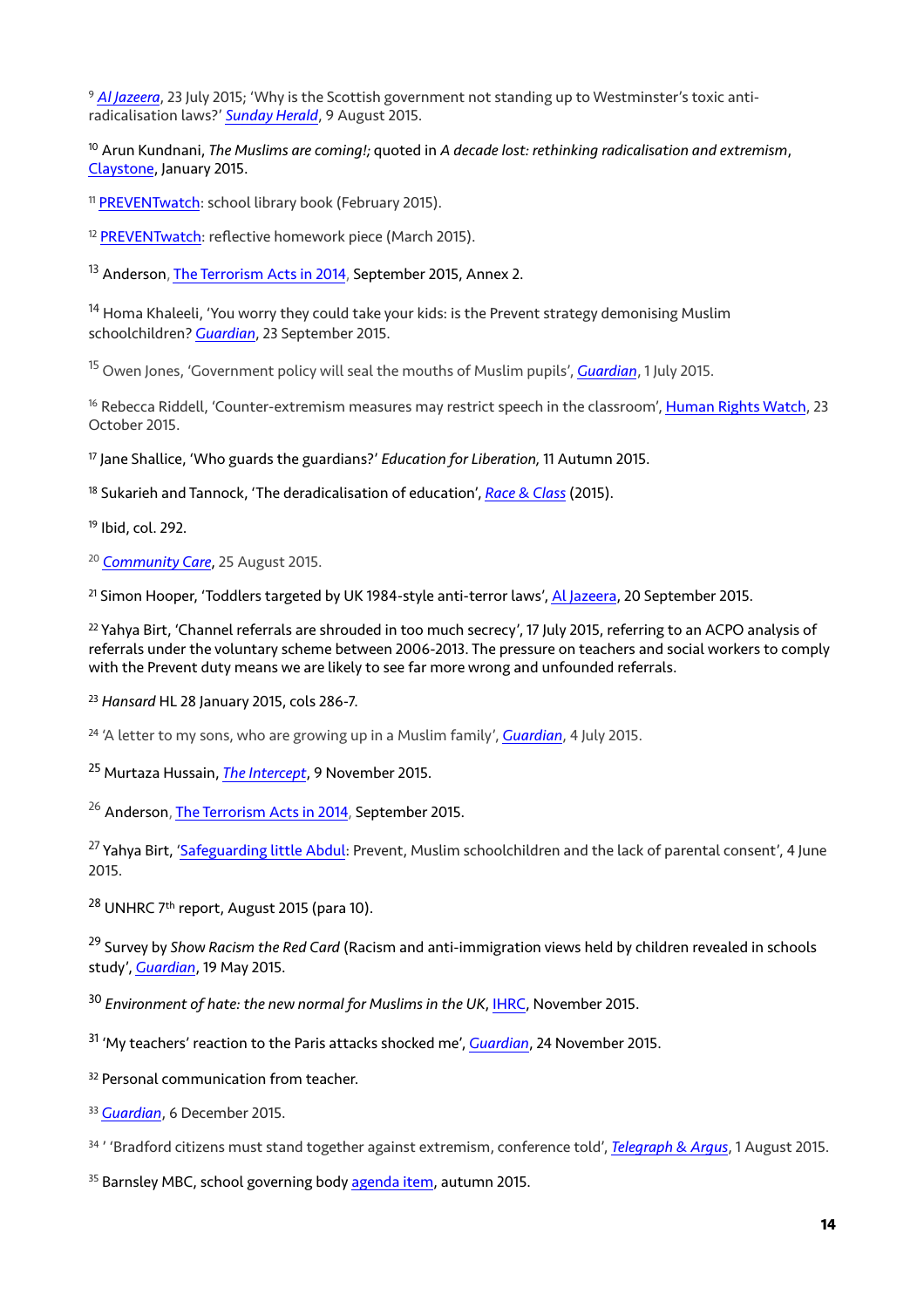<span id="page-13-0"></span><sup>9</sup> [Al Jazeera](http://www.aljazeera.com/indepth/features/2015/07/stifling-freedom-expression-uk-schools-150721080612049.html), 23 July 2015; 'Why is the Scottish government not standing up to Westminster's toxic antiradicalisation laws?' *[Sunday Herald](http://www.heraldscotland.com/news/13583677.Why_is_the_Scottish_government_not_standing_up_to_Westminister_s_toxic_anti_radicalisation_laws_/?ref=arc)*, 9 August 2015.

<span id="page-13-1"></span><sup>[10](#page-3-4)</sup> Arun Kundnani, *The Muslims are comina!:* quoted in *A decade lost: rethinking radicalisation and extremism,* [Claystone](http://www.claystone.org.uk/wp-content/uploads/2015/01/Claystone-rethinking-radicalisation.pdf), January 2015.

<span id="page-13-2"></span><sup>11</sup> [PREVENTwatch:](http://www.preventwatch.org/incident-school-library-book/) school library book (February 2015).

<span id="page-13-3"></span><sup>12</sup> [PREVENTwatch:](http://www.preventwatch.org/incident-reflective-homework-piece/) reflective homework piece (March 2015).

<span id="page-13-4"></span><sup>13</sup> Anderson, [The Terrorism Acts in 2014](https://www.gov.uk/government/publications/the-terrorism-acts-in-2014), September 2015, Annex 2.

<span id="page-13-5"></span><sup>[14](#page-4-1)</sup> Homa Khaleeli, 'You worry they could take your kids: is the Prevent strategy demonising Muslim schoolchildren? *[Guardian](http://www.theguardian.com/uk-news/2015/sep/23/prevent-counter-terrorism-strategy-schools-demonising-muslim-children)*, 23 September 2015.

<span id="page-13-6"></span><sup>[15](#page-4-2)</sup> Owen Jones, 'Government policy will seal the mouths of Muslim pupils', *[Guardian](http://www.theguardian.com/commentisfree/2015/jul/01/muslim-children-enemy-radicalisation)*, 1 July 2015.

<span id="page-13-7"></span><sup>16</sup> Rebecca Riddell, 'Counter-extremism measures may restrict speech in the classroom', [Human Rights Watch](https://www.hrw.org/news/2015/10/23/dispatches-counter-extremism-efforts-may-restrict-speech-classroom), 23 October 2015.

<span id="page-13-8"></span><sup>[17](#page-5-0)</sup> Jane Shallice, 'Who guards the guardians?' *Education for Liberation*, 11 Autumn 2015.

<span id="page-13-9"></span><sup>[18](#page-5-1)</sup> Sukarieh and Tannock, 'The deradicalisation of education', *[Race & Class](http://rac.sagepub.com/content/early/2015/12/15/0306396815621236.abstract)* (2015).

<span id="page-13-10"></span><sup>[19](#page-5-2)</sup> Ibid, col. 292.

<span id="page-13-11"></span><sup>20</sup> [Community Care](http://www.communitycare.co.uk/2015/08/25/idea-social-workers-can-predict-will-become-terrorists-science-fiction/), 25 August [20](#page-6-0)15.

<span id="page-13-12"></span><sup>21</sup> Simon Hooper, 'Toddlers targeted by UK 1984-style anti-terror laws', [Al Jazeera](http://simonhooper.com/2015/09/20/toddlers-targeted-by-uk-1984-style-anti-terror-laws/), 20 September 2015.

<span id="page-13-13"></span><sup>[22](#page-6-2)</sup> Yahya Birt, 'Channel referrals are shrouded in too much secrecy', 17 July 2015, referring to an ACPO analysis of referrals under the voluntary scheme between 2006-2013. The pressure on teachers and social workers to comply with the Prevent duty means we are likely to see far more wrong and unfounded referrals.

<span id="page-13-14"></span>*Hansard* HL 28 January 2015, cols 286-7. [23](#page-6-3)

<span id="page-13-15"></span><sup>[24](#page-7-0)</sup> 'A letter to my sons, who are growing up in a Muslim family', *[Guardian](http://www.theguardian.com/lifeandstyle/2015/jul/04/a-letter-to-my-sons-who-are-growing-up-in-a-muslim-family)*, 4 July 2015.

<span id="page-13-16"></span><sup>[25](#page-7-1)</sup> Murtaza Hussain, *[The Intercept](https://theintercept.com/2015/11/09/how-to-avoid-the-british-school-radicalization-screening-disaster-in-the-united-states/)*, 9 November 2015.

<span id="page-13-17"></span><sup>26</sup> Anderson, [The Terrorism Acts in 2014](https://www.gov.uk/government/publications/the-terrorism-acts-in-2014), September 2015.

<span id="page-13-18"></span><sup>27</sup> Yahya Birt, ['Safeguarding little Abdul](https://yahyabirt1.wordpress.com/2015/06/04/safeguarding-little-abdul-prevent-muslim-schoolchildren-and-the-lack-of-parental-consent/): Prevent, Muslim schoolchildren and the lack of parental consent', 4 June 2015.

<span id="page-13-19"></span><sup>[28](#page-8-0)</sup> UNHRC 7<sup>th</sup> report, August 2015 (para 10).

<span id="page-13-20"></span><sup>[29](#page-8-1)</sup> Survey by *Show Racism the Red Card* (Racism and anti-immigration views held by children revealed in schools study', *[Guardian](http://www.theguardian.com/education/2015/may/19/most-children-think-immigrants-are-stealing-jobs-schools-study-shows)*, 19 May 2015.

<span id="page-13-21"></span>*Environment of hate: the new normal for Muslims in the UK*, [IHRC](http://www.ihrc.org.uk/publications/reports/11559-environment-of-hate-the-new-normal-for-muslims-in-the-uk), November 2015. [30](#page-8-2)

<span id="page-13-22"></span>'My teachers' reaction to the Paris attacks shocked me', *[Guardian](http://www.theguardian.com/education/2015/nov/24/teachers-reaction-paris-attacks-opinions-headteacher-islamophobia)*, 24 November 2015. [31](#page-8-3)

<span id="page-13-23"></span><sup>[32](#page-8-4)</sup> Personal communication from teacher.

<span id="page-13-24"></span><sup>33</sup> [Guardian](http://www.theguardian.com/uk-news/2015/dec/06/east-london-muslims-prevent-strategy), 6 December 2015.

<span id="page-13-25"></span>' 'Bradford citizens must stand together against extremism, conference told', *[Telegraph & Argus](http://www.thetelegraphandargus.co.uk/news/13524464.Bradford_citizens_must_stand_together_against_extremism__conference_told/?ref=wa)*, 1 August 2015. [34](#page-8-6)

<span id="page-13-26"></span><sup>35</sup> Barnsley MBC, school governing body [agenda item](https://www2.barnsley.gov.uk/media/3774681/aut_term_2015_exec_summ_doc_g_rep__schools_duty_under_the_counter_terrorism_and_security_act__2015__.pdf), autumn 2015.